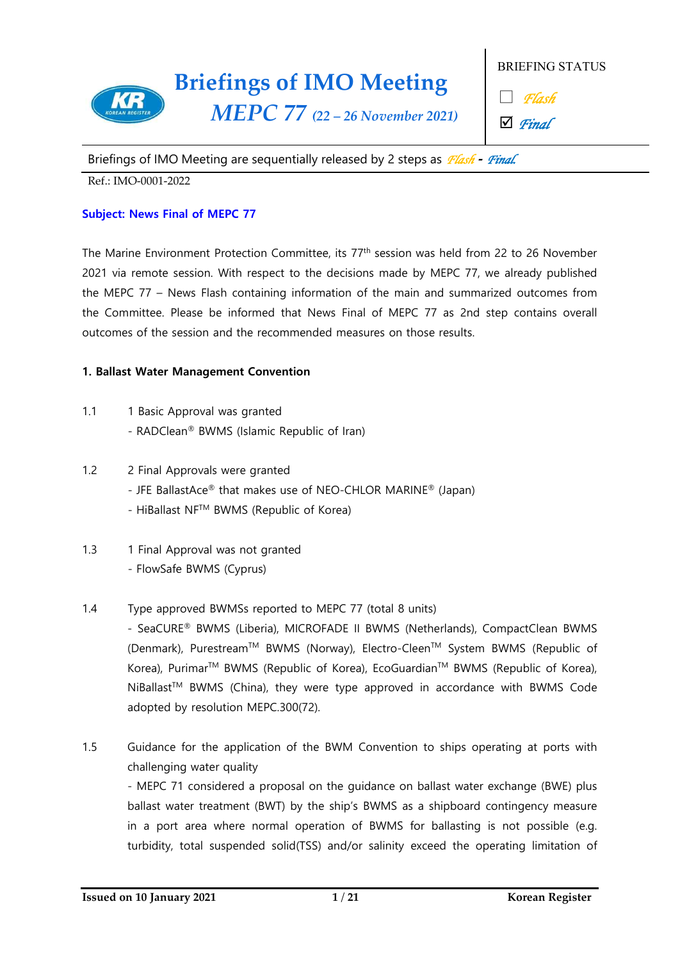

BRIEFING STATUS

□ *Flash*

þ *Final*

Briefings of IMO Meeting are sequentially released by 2 steps as *Flash* **-** *Final.* 

Ref.: IMO-0001-2022

### **Subject: News Final of MEPC 77**

The Marine Environment Protection Committee, its 77th session was held from 22 to 26 November 2021 via remote session. With respect to the decisions made by MEPC 77, we already published the MEPC 77 – News Flash containing information of the main and summarized outcomes from the Committee. Please be informed that News Final of MEPC 77 as 2nd step contains overall outcomes of the session and the recommended measures on those results.

### **1. Ballast Water Management Convention**

- 1.1 1 Basic Approval was granted - RADClean® BWMS (Islamic Republic of Iran)
- 
- 1.2 2 Final Approvals were granted  $\cdot$  JFE BallastAce® that makes use of NEO-CHLOR MARINE® (Japan)
	- HiBallast NFTM BWMS (Republic of Korea)
- 1.3 1 Final Approval was not granted - FlowSafe BWMS (Cyprus)
- 1.4 Type approved BWMSs reported to MEPC 77 (total 8 units)

- SeaCURE® BWMS (Liberia), MICROFADE II BWMS (Netherlands), CompactClean BWMS (Denmark), Purestream™ BWMS (Norway), Electro-Cleen™ System BWMS (Republic of Korea), Purimar<sup>™</sup> BWMS (Republic of Korea), EcoGuardian<sup>™</sup> BWMS (Republic of Korea), NiBallast<sup>™</sup> BWMS (China), they were type approved in accordance with BWMS Code adopted by resolution MEPC.300(72).

1.5 Guidance for the application of the BWM Convention to ships operating at ports with challenging water quality

- MEPC 71 considered a proposal on the guidance on ballast water exchange (BWE) plus ballast water treatment (BWT) by the ship's BWMS as a shipboard contingency measure in a port area where normal operation of BWMS for ballasting is not possible (e.g. turbidity, total suspended solid(TSS) and/or salinity exceed the operating limitation of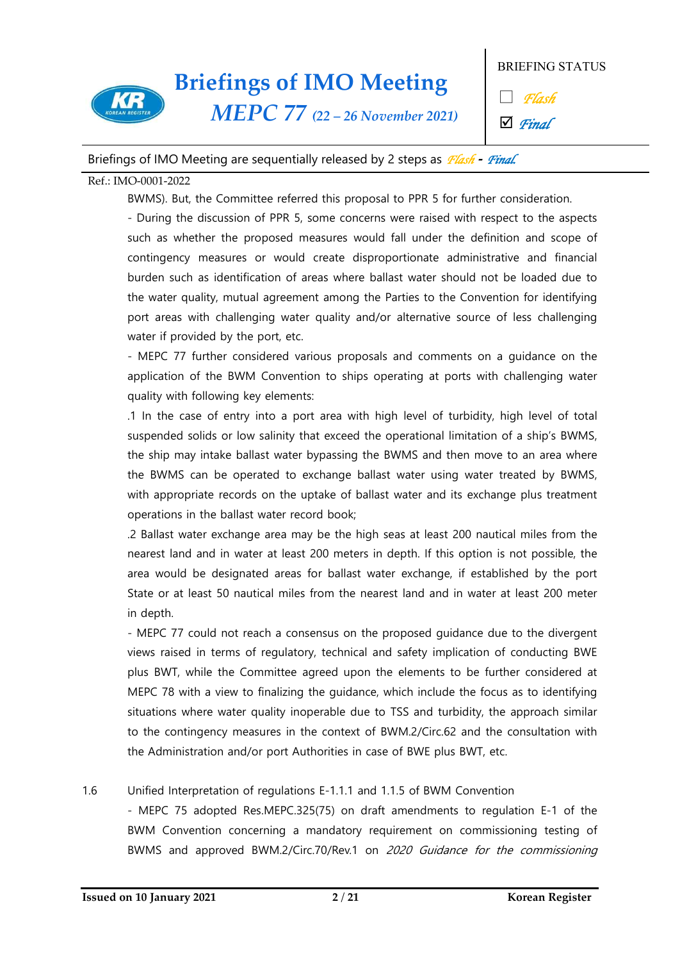

*MEPC 77 (22 – 26 November 2021)*

BRIEFING STATUS

□ *Flash*

þ *Final*

### Briefings of IMO Meeting are sequentially released by 2 steps as *Flash* **-** *Final.*

#### Ref.: IMO-0001-2022

BWMS). But, the Committee referred this proposal to PPR 5 for further consideration. - During the discussion of PPR 5, some concerns were raised with respect to the aspects such as whether the proposed measures would fall under the definition and scope of contingency measures or would create disproportionate administrative and financial burden such as identification of areas where ballast water should not be loaded due to the water quality, mutual agreement among the Parties to the Convention for identifying port areas with challenging water quality and/or alternative source of less challenging water if provided by the port, etc.<br>- MEPC 77 further considered various proposals and comments on a guidance on the

application of the BWM Convention to ships operating at ports with challenging water quality with following key elements:

.1 In the case of entry into a port area with high level of turbidity, high level of total suspended solids or low salinity that exceed the operational limitation of a ship's BWMS, the ship may intake ballast water bypassing the BWMS and then move to an area where the BWMS can be operated to exchange ballast water using water treated by BWMS, with appropriate records on the uptake of ballast water and its exchange plus treatment operations in the ballast water record book;

.2 Ballast water exchange area may be the high seas at least 200 nautical miles from the nearest land and in water at least 200 meters in depth. If this option is not possible, the area would be designated areas for ballast water exchange, if established by the port State or at least 50 nautical miles from the nearest land and in water at least 200 meter in depth.

- MEPC 77 could not reach a consensus on the proposed guidance due to the divergent views raised in terms of regulatory, technical and safety implication of conducting BWE plus BWT, while the Committee agreed upon the elements to be further considered at MEPC 78 with a view to finalizing the guidance, which include the focus as to identifying situations where water quality inoperable due to TSS and turbidity, the approach similar to the contingency measures in the context of BWM.2/Circ.62 and the consultation with the Administration and/or port Authorities in case of BWE plus BWT, etc.

### 1.6 Unified Interpretation of regulations E-1.1.1 and 1.1.5 of BWM Convention

- MEPC 75 adopted Res.MEPC.325(75) on draft amendments to regulation E-1 of the BWM Convention concerning a mandatory requirement on commissioning testing of BWMS and approved BWM.2/Circ.70/Rev.1 on 2020 Guidance for the commissioning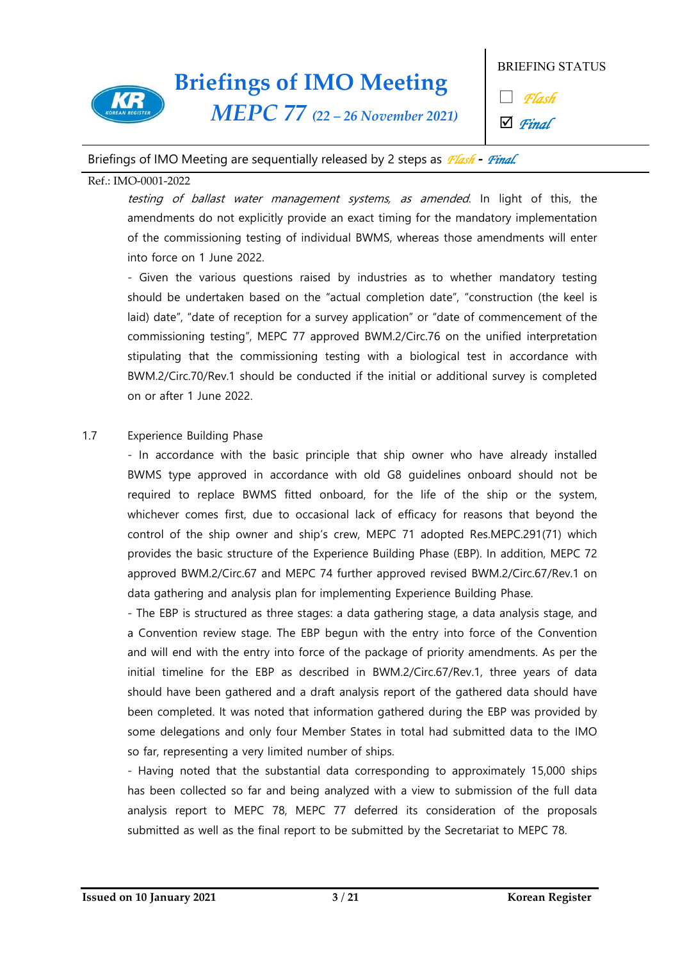

*MEPC 77 (22 – 26 November 2021)*

BRIEFING STATUS

□ *Flash*

þ *Final*

### Briefings of IMO Meeting are sequentially released by 2 steps as *Flash* **-** *Final.*

### Ref.: IMO-0001-2022

testing of ballast water management systems, as amended. In light of this, the amendments do not explicitly provide an exact timing for the mandatory implementation of the commissioning testing of individual BWMS, whereas those amendments will enter into force on 1 June 2022.<br>- Given the various questions raised by industries as to whether mandatory testing

should be undertaken based on the "actual completion date", "construction (the keel is laid) date", "date of reception for a survey application" or "date of commencement of the commissioning testing", MEPC 77 approved BWM.2/Circ.76 on the unified interpretation stipulating that the commissioning testing with a biological test in accordance with BWM.2/Circ.70/Rev.1 should be conducted if the initial or additional survey is completed on or after 1 June 2022.

1.7 Experience Building Phase<br>- In accordance with the basic principle that ship owner who have already installed BWMS type approved in accordance with old G8 guidelines onboard should not be required to replace BWMS fitted onboard, for the life of the ship or the system, whichever comes first, due to occasional lack of efficacy for reasons that beyond the control of the ship owner and ship's crew, MEPC 71 adopted Res.MEPC.291(71) which provides the basic structure of the Experience Building Phase (EBP). In addition, MEPC 72 approved BWM.2/Circ.67 and MEPC 74 further approved revised BWM.2/Circ.67/Rev.1 on data gathering and analysis plan for implementing Experience Building Phase.<br>- The EBP is structured as three stages: a data gathering stage, a data analysis stage, and

a Convention review stage. The EBP begun with the entry into force of the Convention and will end with the entry into force of the package of priority amendments. As per the initial timeline for the EBP as described in BWM.2/Circ.67/Rev.1, three years of data should have been gathered and a draft analysis report of the gathered data should have been completed. It was noted that information gathered during the EBP was provided by some delegations and only four Member States in total had submitted data to the IMO so far, representing a very limited number of ships.<br>- Having noted that the substantial data corresponding to approximately 15,000 ships

has been collected so far and being analyzed with a view to submission of the full data analysis report to MEPC 78, MEPC 77 deferred its consideration of the proposals submitted as well as the final report to be submitted by the Secretariat to MEPC 78.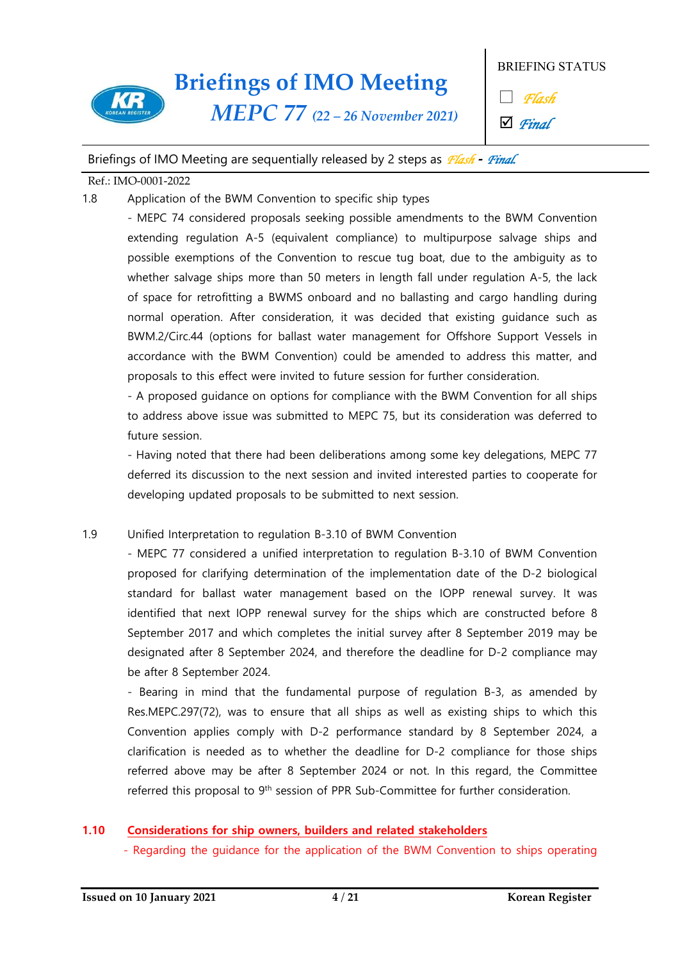

### BRIEFING STATUS

□ *Flash*

þ *Final*

### Briefings of IMO Meeting are sequentially released by 2 steps as *Flash* **-** *Final.*

#### Ref.: IMO-0001-2022

1.8 Application of the BWM Convention to specific ship types

- MEPC 74 considered proposals seeking possible amendments to the BWM Convention extending regulation A-5 (equivalent compliance) to multipurpose salvage ships and possible exemptions of the Convention to rescue tug boat, due to the ambiguity as to whether salvage ships more than 50 meters in length fall under regulation A-5, the lack of space for retrofitting a BWMS onboard and no ballasting and cargo handling during normal operation. After consideration, it was decided that existing guidance such as BWM.2/Circ.44 (options for ballast water management for Offshore Support Vessels in accordance with the BWM Convention) could be amended to address this matter, and

proposals to this effect were invited to future session for further consideration. - A proposed guidance on options for compliance with the BWM Convention for all ships to address above issue was submitted to MEPC 75, but its consideration was deferred to future session.<br>- Having noted that there had been deliberations among some key delegations, MEPC 77

deferred its discussion to the next session and invited interested parties to cooperate for developing updated proposals to be submitted to next session.

### 1.9 Unified Interpretation to regulation B-3.10 of BWM Convention

- MEPC 77 considered a unified interpretation to regulation B-3.10 of BWM Convention proposed for clarifying determination of the implementation date of the D-2 biological standard for ballast water management based on the IOPP renewal survey. It was identified that next IOPP renewal survey for the ships which are constructed before 8 September 2017 and which completes the initial survey after 8 September 2019 may be designated after 8 September 2024, and therefore the deadline for D-2 compliance may

be after 8 September 2024.<br>- Bearing in mind that the fundamental purpose of regulation B-3, as amended by Res.MEPC.297(72), was to ensure that all ships as well as existing ships to which this Convention applies comply with D-2 performance standard by 8 September 2024, a clarification is needed as to whether the deadline for D-2 compliance for those ships referred above may be after 8 September 2024 or not. In this regard, the Committee referred this proposal to 9<sup>th</sup> session of PPR Sub-Committee for further consideration.

### **1.10 Considerations for ship owners, builders and related stakeholders**

- Regarding the guidance for the application of the BWM Convention to ships operating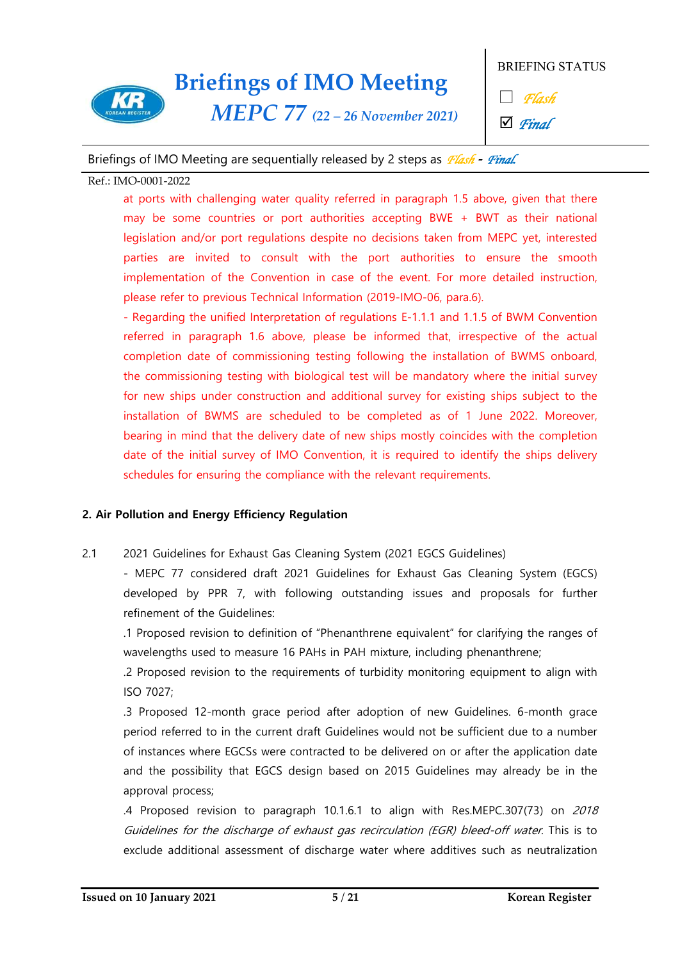

*MEPC 77 (22 – 26 November 2021)*

BRIEFING STATUS

□ *Flash*

þ *Final*

### Briefings of IMO Meeting are sequentially released by 2 steps as *Flash* **-** *Final.*

### Ref.: IMO-0001-2022

at ports with challenging water quality referred in paragraph 1.5 above, given that there may be some countries or port authorities accepting BWE + BWT as their national legislation and/or port regulations despite no decisions taken from MEPC yet, interested parties are invited to consult with the port authorities to ensure the smooth implementation of the Convention in case of the event. For more detailed instruction, please refer to previous Technical Information (2019-IMO-06, para.6).<br>- Regarding the unified Interpretation of regulations E-1.1.1 and 1.1.5 of BWM Convention

referred in paragraph 1.6 above, please be informed that, irrespective of the actual completion date of commissioning testing following the installation of BWMS onboard, the commissioning testing with biological test will be mandatory where the initial survey for new ships under construction and additional survey for existing ships subject to the installation of BWMS are scheduled to be completed as of 1 June 2022. Moreover, bearing in mind that the delivery date of new ships mostly coincides with the completion date of the initial survey of IMO Convention, it is required to identify the ships delivery schedules for ensuring the compliance with the relevant requirements.

### **2. Air Pollution and Energy Efficiency Regulation**

2.1 2021 Guidelines for Exhaust Gas Cleaning System (2021 EGCS Guidelines)

- MEPC 77 considered draft 2021 Guidelines for Exhaust Gas Cleaning System (EGCS) developed by PPR 7, with following outstanding issues and proposals for further refinement of the Guidelines:

.1 Proposed revision to definition of "Phenanthrene equivalent" for clarifying the ranges of wavelengths used to measure 16 PAHs in PAH mixture, including phenanthrene;

.2 Proposed revision to the requirements of turbidity monitoring equipment to align with ISO 7027;

.3 Proposed 12-month grace period after adoption of new Guidelines. 6-month grace period referred to in the current draft Guidelines would not be sufficient due to a number of instances where EGCSs were contracted to be delivered on or after the application date and the possibility that EGCS design based on 2015 Guidelines may already be in the approval process;

.4 Proposed revision to paragraph 10.1.6.1 to align with Res.MEPC.307(73) on 2018 Guidelines for the discharge of exhaust gas recirculation (EGR) bleed-off water. This is to exclude additional assessment of discharge water where additives such as neutralization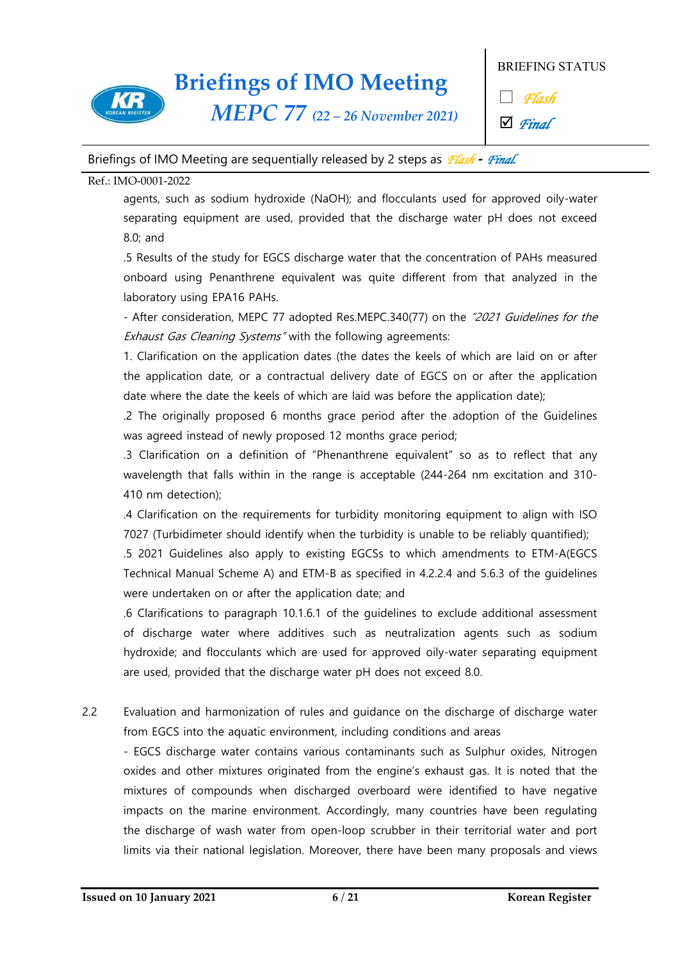

*MEPC 77 (22 – 26 November 2021)*

BRIEFING STATUS

□ *Flash*

þ *Final*

### Briefings of IMO Meeting are sequentially released by 2 steps as *Flash* **-** *Final.*

#### Ref.: IMO-0001-2022

agents, such as sodium hydroxide (NaOH); and flocculants used for approved oily-water separating equipment are used, provided that the discharge water pH does not exceed 8.0; and

.5 Results of the study for EGCS discharge water that the concentration of PAHs measured onboard using Penanthrene equivalent was quite different from that analyzed in the laboratory using EPA16 PAHs.<br>- After consideration, MEPC 77 adopted Res.MEPC.340(77) on the "2021 Guidelines for the

Exhaust Gas Cleaning Systems" with the following agreements:

1. Clarification on the application dates (the dates the keels of which are laid on or after the application date, or a contractual delivery date of EGCS on or after the application date where the date the keels of which are laid was before the application date);

.2 The originally proposed 6 months grace period after the adoption of the Guidelines was agreed instead of newly proposed 12 months grace period;

.3 Clarification on a definition of "Phenanthrene equivalent" so as to reflect that any wavelength that falls within in the range is acceptable (244-264 nm excitation and 310- 410 nm detection);

.4 Clarification on the requirements for turbidity monitoring equipment to align with ISO 7027 (Turbidimeter should identify when the turbidity is unable to be reliably quantified);

.5 2021 Guidelines also apply to existing EGCSs to which amendments to ETM-A(EGCS Technical Manual Scheme A) and ETM-B as specified in 4.2.2.4 and 5.6.3 of the guidelines were undertaken on or after the application date; and

.6 Clarifications to paragraph 10.1.6.1 of the guidelines to exclude additional assessment of discharge water where additives such as neutralization agents such as sodium hydroxide; and flocculants which are used for approved oily-water separating equipment are used, provided that the discharge water pH does not exceed 8.0.

2.2 Evaluation and harmonization of rules and guidance on the discharge of discharge water from EGCS into the aquatic environment, including conditions and areas

- EGCS discharge water contains various contaminants such as Sulphur oxides, Nitrogen oxides and other mixtures originated from the engine's exhaust gas. It is noted that the mixtures of compounds when discharged overboard were identified to have negative impacts on the marine environment. Accordingly, many countries have been regulating the discharge of wash water from open-loop scrubber in their territorial water and port limits via their national legislation. Moreover, there have been many proposals and views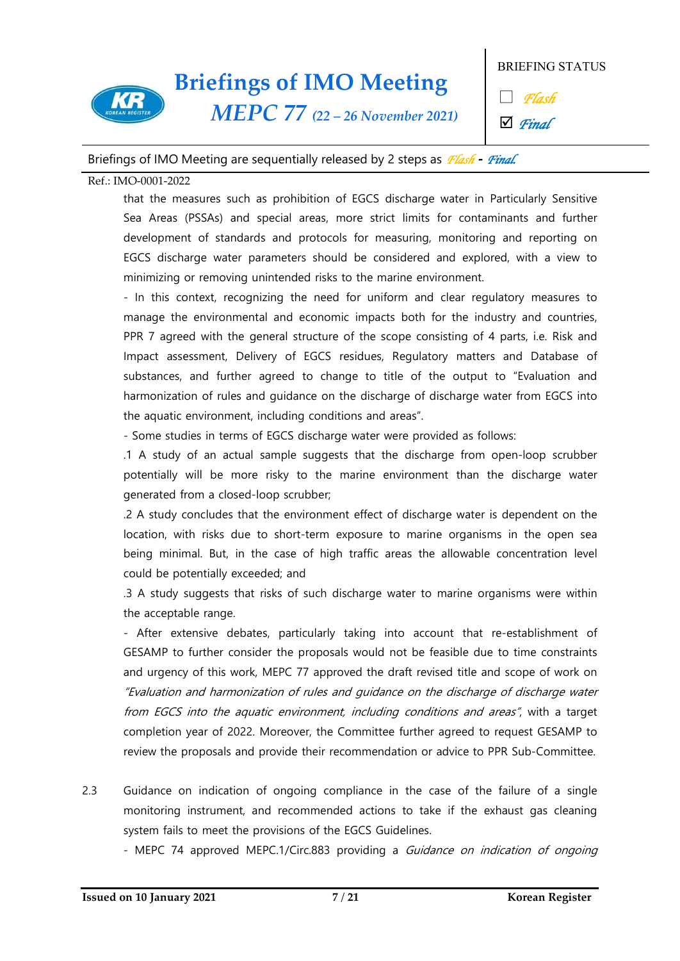

*MEPC 77 (22 – 26 November 2021)*

BRIEFING STATUS

□ *Flash*

þ *Final*

### Briefings of IMO Meeting are sequentially released by 2 steps as *Flash* **-** *Final.*

#### Ref.: IMO-0001-2022

that the measures such as prohibition of EGCS discharge water in Particularly Sensitive Sea Areas (PSSAs) and special areas, more strict limits for contaminants and further development of standards and protocols for measuring, monitoring and reporting on EGCS discharge water parameters should be considered and explored, with a view to minimizing or removing unintended risks to the marine environment.

- In this context, recognizing the need for uniform and clear regulatory measures to manage the environmental and economic impacts both for the industry and countries, PPR 7 agreed with the general structure of the scope consisting of 4 parts, i.e. Risk and Impact assessment, Delivery of EGCS residues, Regulatory matters and Database of substances, and further agreed to change to title of the output to "Evaluation and harmonization of rules and guidance on the discharge of discharge water from EGCS into the aquatic environment, including conditions and areas".

- Some studies in terms of EGCS discharge water were provided as follows:

.1 A study of an actual sample suggests that the discharge from open-loop scrubber potentially will be more risky to the marine environment than the discharge water generated from a closed-loop scrubber;

.2 A study concludes that the environment effect of discharge water is dependent on the location, with risks due to short-term exposure to marine organisms in the open sea being minimal. But, in the case of high traffic areas the allowable concentration level could be potentially exceeded; and

.3 A study suggests that risks of such discharge water to marine organisms were within the acceptable range.

- After extensive debates, particularly taking into account that re-establishment of GESAMP to further consider the proposals would not be feasible due to time constraints and urgency of this work, MEPC 77 approved the draft revised title and scope of work on "Evaluation and harmonization of rules and guidance on the discharge of discharge water from EGCS into the aquatic environment, including conditions and areas", with a target completion year of 2022. Moreover, the Committee further agreed to request GESAMP to review the proposals and provide their recommendation or advice to PPR Sub-Committee.

2.3 Guidance on indication of ongoing compliance in the case of the failure of a single monitoring instrument, and recommended actions to take if the exhaust gas cleaning system fails to meet the provisions of the EGCS Guidelines.<br>- MEPC 74 approved MEPC.1/Circ.883 providing a *Guidance on indication of ongoing*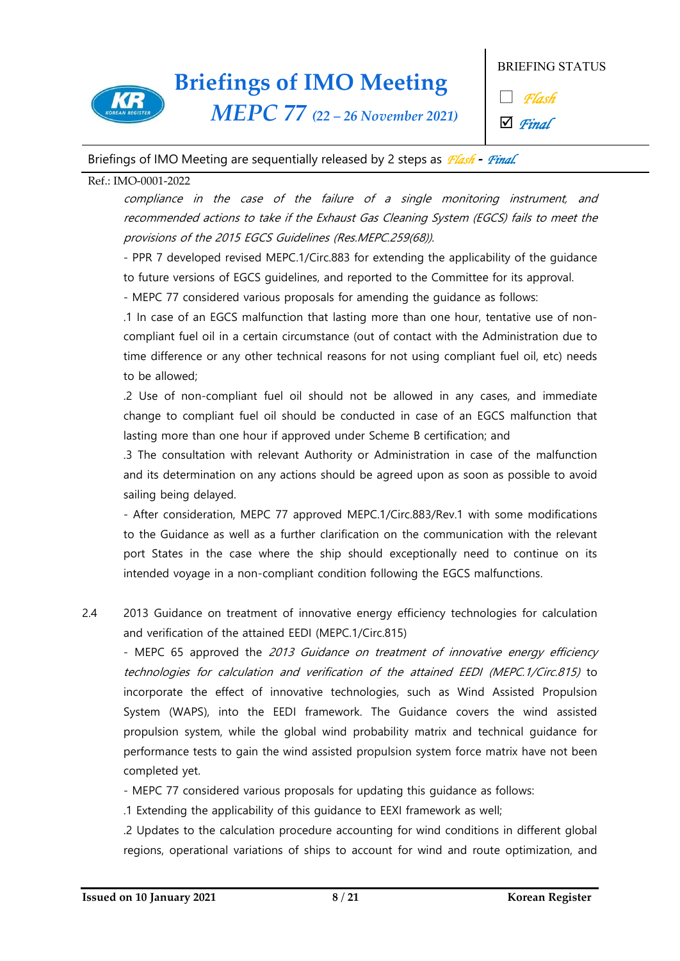

*MEPC 77 (22 – 26 November 2021)*

BRIEFING STATUS

□ *Flash*

þ *Final*

### Briefings of IMO Meeting are sequentially released by 2 steps as *Flash* **-** *Final.*

### Ref.: IMO-0001-2022

compliance in the case of the failure of a single monitoring instrument, and recommended actions to take if the Exhaust Gas Cleaning System (EGCS) fails to meet the provisions of the 2015 EGCS Guidelines (Res.MEPC.259(68)).

- PPR 7 developed revised MEPC.1/Circ.883 for extending the applicability of the guidance to future versions of EGCS guidelines, and reported to the Committee for its approval. - MEPC 77 considered various proposals for amending the guidance as follows:

.1 In case of an EGCS malfunction that lasting more than one hour, tentative use of non compliant fuel oil in a certain circumstance (out of contact with the Administration due to time difference or any other technical reasons for not using compliant fuel oil, etc) needs to be allowed;

.2 Use of non-compliant fuel oil should not be allowed in any cases, and immediate change to compliant fuel oil should be conducted in case of an EGCS malfunction that lasting more than one hour if approved under Scheme B certification; and

.3 The consultation with relevant Authority or Administration in case of the malfunction and its determination on any actions should be agreed upon as soon as possible to avoid sailing being delayed.

- After consideration, MEPC 77 approved MEPC.1/Circ.883/Rev.1 with some modifications to the Guidance as well as a further clarification on the communication with the relevant port States in the case where the ship should exceptionally need to continue on its intended voyage in a non-compliant condition following the EGCS malfunctions.

2.4 2013 Guidance on treatment of innovative energy efficiency technologies for calculation and verification of the attained EEDI (MEPC.1/Circ.815)

- MEPC 65 approved the 2013 Guidance on treatment of innovative energy efficiency technologies for calculation and verification of the attained EEDI (MEPC.1/Circ.815) to incorporate the effect of innovative technologies, such as Wind Assisted Propulsion System (WAPS), into the EEDI framework. The Guidance covers the wind assisted propulsion system, while the global wind probability matrix and technical guidance for performance tests to gain the wind assisted propulsion system force matrix have not been

completed yet.<br>- MEPC 77 considered various proposals for updating this guidance as follows:

.1 Extending the applicability of this guidance to EEXI framework as well;

.2 Updates to the calculation procedure accounting for wind conditions in different global regions, operational variations of ships to account for wind and route optimization, and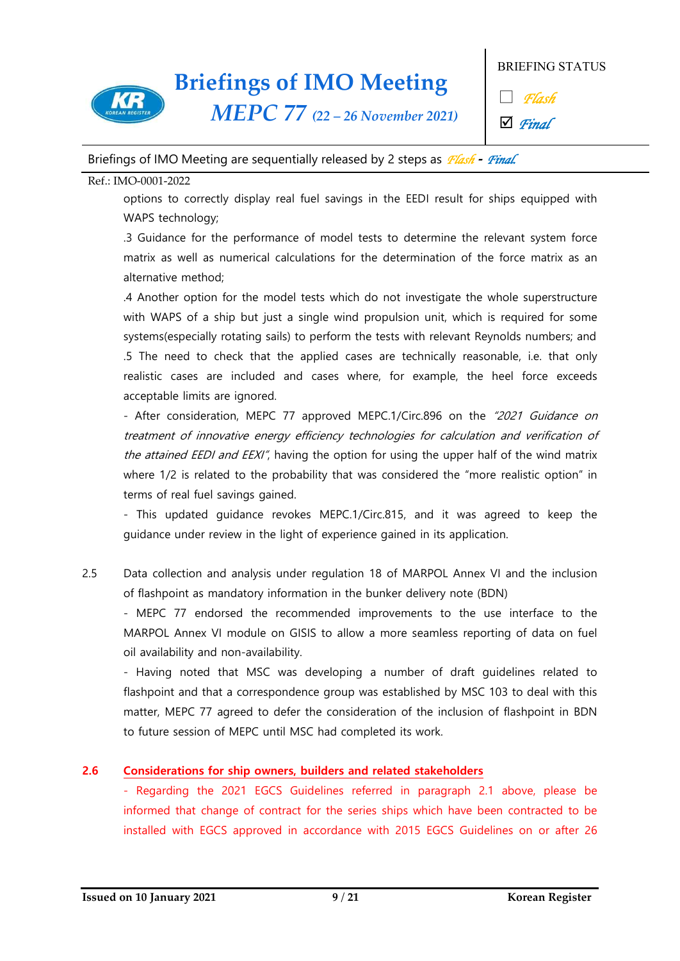

*MEPC 77 (22 – 26 November 2021)*

BRIEFING STATUS

□ *Flash*

þ *Final*

### Briefings of IMO Meeting are sequentially released by 2 steps as *Flash* **-** *Final.*

### Ref.: IMO-0001-2022

options to correctly display real fuel savings in the EEDI result for ships equipped with WAPS technology;

.3 Guidance for the performance of model tests to determine the relevant system force matrix as well as numerical calculations for the determination of the force matrix as an alternative method;

.4 Another option for the model tests which do not investigate the whole superstructure with WAPS of a ship but just a single wind propulsion unit, which is required for some systems(especially rotating sails) to perform the tests with relevant Reynolds numbers; and .5 The need to check that the applied cases are technically reasonable, i.e. that only realistic cases are included and cases where, for example, the heel force exceeds acceptable limits are ignored.

- After consideration, MEPC 77 approved MEPC.1/Circ.896 on the "2021 Guidance on treatment of innovative energy efficiency technologies for calculation and verification of the attained EEDI and EEXI", having the option for using the upper half of the wind matrix where 1/2 is related to the probability that was considered the "more realistic option" in terms of real fuel savings gained.<br>- This updated guidance revokes MEPC.1/Circ.815, and it was agreed to keep the

guidance under review in the light of experience gained in its application.

2.5 Data collection and analysis under regulation 18 of MARPOL Annex VI and the inclusion of flashpoint as mandatory information in the bunker delivery note (BDN)

- MEPC 77 endorsed the recommended improvements to the use interface to the MARPOL Annex VI module on GISIS to allow a more seamless reporting of data on fuel oil availability and non-availability.<br>- Having noted that MSC was developing a number of draft guidelines related to

flashpoint and that a correspondence group was established by MSC 103 to deal with this matter, MEPC 77 agreed to defer the consideration of the inclusion of flashpoint in BDN to future session of MEPC until MSC had completed its work.

### **2.6 Considerations for ship owners, builders and related stakeholders**

- Regarding the 2021 EGCS Guidelines referred in paragraph 2.1 above, please be informed that change of contract for the series ships which have been contracted to be installed with EGCS approved in accordance with 2015 EGCS Guidelines on or after 26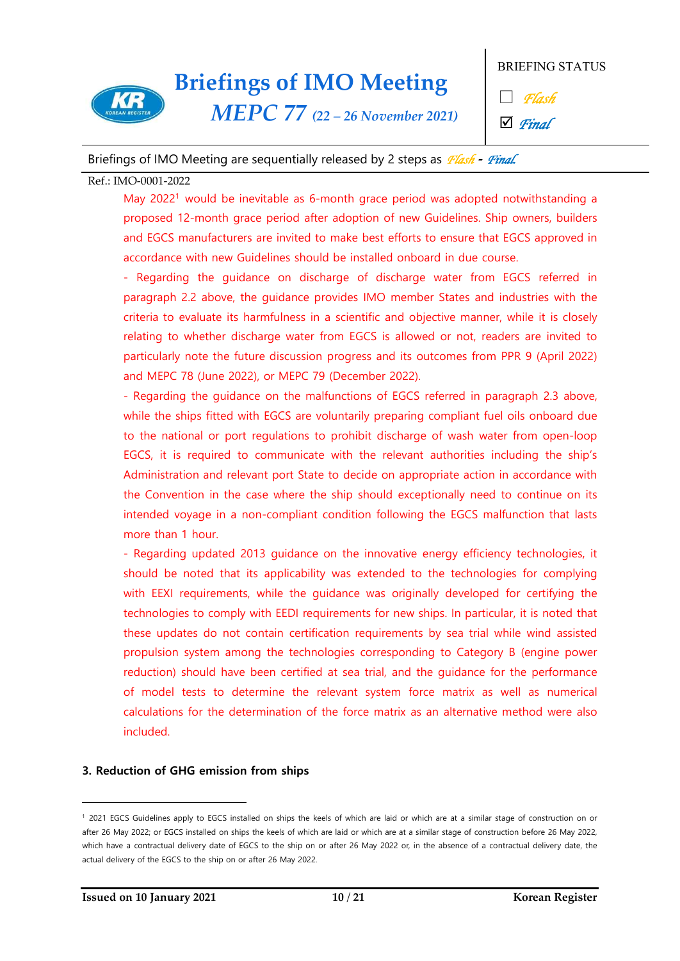

*MEPC 77 (22 – 26 November 2021)*

BRIEFING STATUS

□ *Flash*

þ *Final*

### Briefings of IMO Meeting are sequentially released by 2 steps as *Flash* **-** *Final.*

#### Ref.: IMO-0001-2022

May 2022<sup>1</sup> would be inevitable as 6-month grace period was adopted notwithstanding a proposed 12-month grace period after adoption of new Guidelines. Ship owners, builders and EGCS manufacturers are invited to make best efforts to ensure that EGCS approved in accordance with new Guidelines should be installed onboard in due course.<br>- Regarding the guidance on discharge of discharge water from EGCS referred in

paragraph 2.2 above, the guidance provides IMO member States and industries with the criteria to evaluate its harmfulness in a scientific and objective manner, while it is closely relating to whether discharge water from EGCS is allowed or not, readers are invited to particularly note the future discussion progress and its outcomes from PPR 9 (April 2022) and MEPC 78 (June 2022), or MEPC 79 (December 2022).<br>- Regarding the guidance on the malfunctions of EGCS referred in paragraph 2.3 above,

while the ships fitted with EGCS are voluntarily preparing compliant fuel oils onboard due to the national or port regulations to prohibit discharge of wash water from open-loop EGCS, it is required to communicate with the relevant authorities including the ship's Administration and relevant port State to decide on appropriate action in accordance with the Convention in the case where the ship should exceptionally need to continue on its intended voyage in a non-compliant condition following the EGCS malfunction that lasts

more than 1 hour.<br>- Regarding updated 2013 guidance on the innovative energy efficiency technologies, it should be noted that its applicability was extended to the technologies for complying with EEXI requirements, while the guidance was originally developed for certifying the technologies to comply with EEDI requirements for new ships. In particular, it is noted that these updates do not contain certification requirements by sea trial while wind assisted propulsion system among the technologies corresponding to Category B (engine power reduction) should have been certified at sea trial, and the guidance for the performance of model tests to determine the relevant system force matrix as well as numerical calculations for the determination of the force matrix as an alternative method were also included.

### **3. Reduction of GHG emission from ships**

 $\overline{\phantom{a}}$ 

<sup>&</sup>lt;sup>1</sup> 2021 EGCS Guidelines apply to EGCS installed on ships the keels of which are laid or which are at a similar stage of construction on or<br>after 26 May 2022; or EGCS installed on ships the keels of which are laid or which which have a contractual delivery date of EGCS to the ship on or after 26 May 2022 or, in the absence of a contractual delivery date, the actual delivery of the EGCS to the ship on or after 26 May 2022.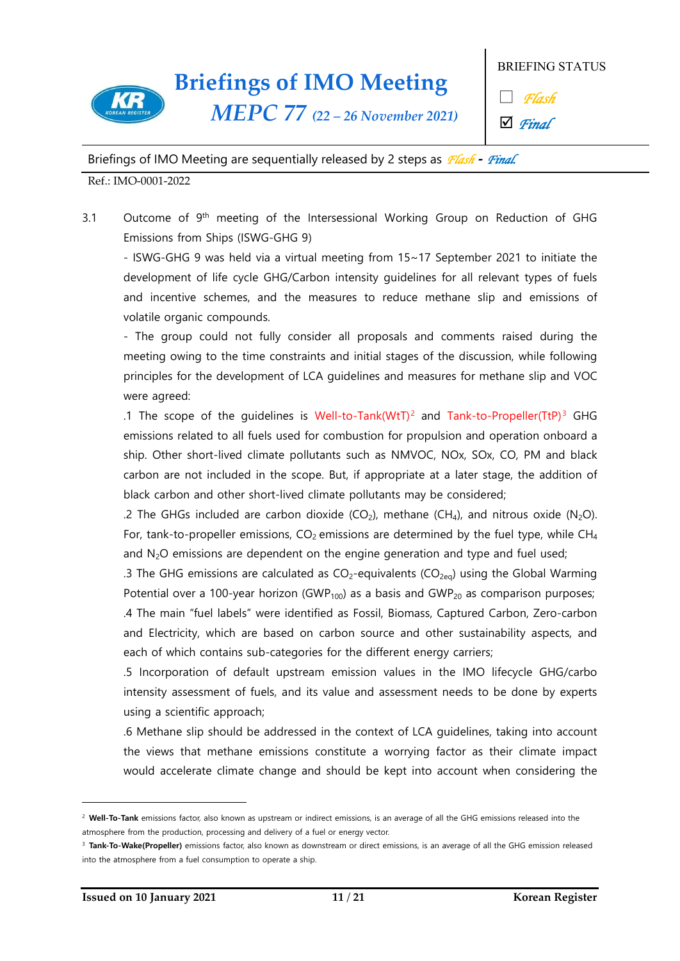

*MEPC 77 (22 – 26 November 2021)*

BRIEFING STATUS

□ *Flash*

þ *Final*

Briefings of IMO Meeting are sequentially released by 2 steps as *Flash* **-** *Final.* 

Ref.: IMO-0001-2022

3.1 Outcome of 9<sup>th</sup> meeting of the Intersessional Working Group on Reduction of GHG Emissions from Ships (ISWG-GHG 9)

- ISWG-GHG 9 was held via a virtual meeting from 15~17 September 2021 to initiate the development of life cycle GHG/Carbon intensity guidelines for all relevant types of fuels and incentive schemes, and the measures to reduce methane slip and emissions of volatile organic compounds.<br>- The group could not fully consider all proposals and comments raised during the

meeting owing to the time constraints and initial stages of the discussion, while following principles for the development of LCA guidelines and measures for methane slip and VOC were agreed:

.1 The scope of the quidelines is Well-to-Tank(WtT)<sup>2</sup> and Tank-to-Propeller(TtP)<sup>3</sup> GHG emissions related to all fuels used for combustion for propulsion and operation onboard a ship. Other short-lived climate pollutants such as NMVOC, NOx, SOx, CO, PM and black carbon are not included in the scope. But, if appropriate at a later stage, the addition of black carbon and other short-lived climate pollutants may be considered;

.2 The GHGs included are carbon dioxide (CO<sub>2</sub>), methane (CH<sub>4</sub>), and nitrous oxide (N<sub>2</sub>O). For, tank-to-propeller emissions,  $CO<sub>2</sub>$  emissions are determined by the fuel type, while  $CH<sub>4</sub>$ and  $N<sub>2</sub>O$  emissions are dependent on the engine generation and type and fuel used;

.3 The GHG emissions are calculated as  $CO_2$ -equivalents ( $CO_{2eq}$ ) using the Global Warming Potential over a 100-year horizon (GWP<sub>100</sub>) as a basis and GWP<sub>20</sub> as comparison purposes; .4 The main "fuel labels" were identified as Fossil, Biomass, Captured Carbon, Zero-carbon and Electricity, which are based on carbon source and other sustainability aspects, and each of which contains sub-categories for the different energy carriers;

.5 Incorporation of default upstream emission values in the IMO lifecycle GHG/carbo intensity assessment of fuels, and its value and assessment needs to be done by experts using a scientific approach;

.6 Methane slip should be addressed in the context of LCA guidelines, taking into account the views that methane emissions constitute a worrying factor as their climate impact would accelerate climate change and should be kept into account when considering the

 $\overline{\phantom{a}}$ 

<sup>&</sup>lt;sup>2</sup> Well-To-Tank emissions factor, also known as upstream or indirect emissions, is an average of all the GHG emissions released into the atmosphere from the production, processing and delivery of a fuel or energy vector.

<sup>3</sup> **Tank-To-Wake(Propeller)** emissions factor, also known as downstream or direct emissions, is an average of all the GHG emission released into the atmosphere from a fuel consumption to operate a ship.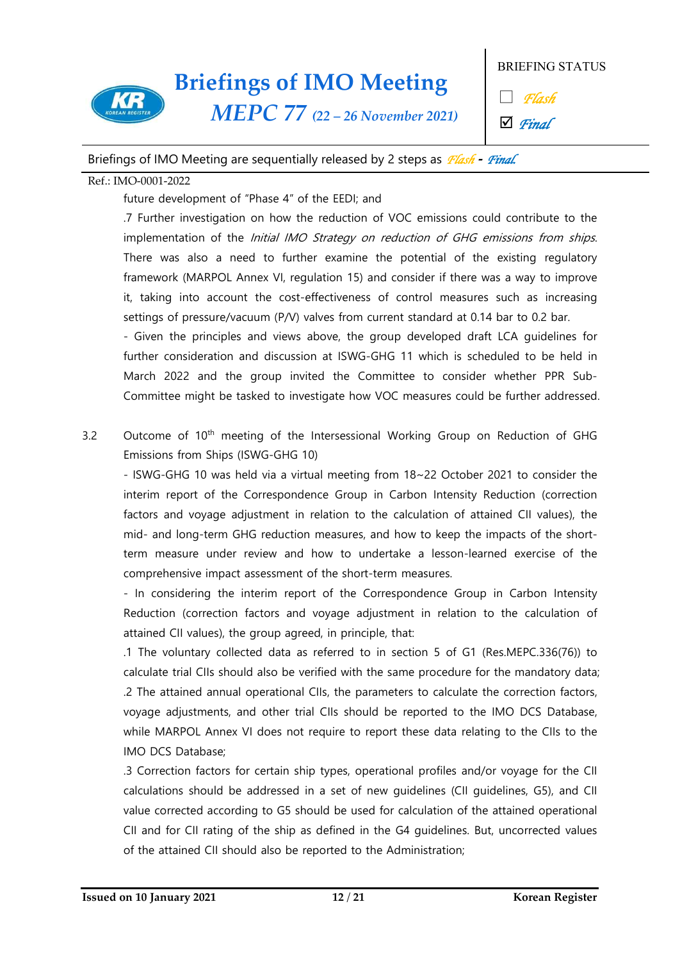

*MEPC 77 (22 – 26 November 2021)*

BRIEFING STATUS

□ *Flash*

þ *Final*

### Briefings of IMO Meeting are sequentially released by 2 steps as *Flash* **-** *Final.*

#### Ref.: IMO-0001-2022

future development of "Phase 4" of the EEDI; and

.7 Further investigation on how the reduction of VOC emissions could contribute to the implementation of the *Initial IMO Strategy on reduction of GHG emissions from ships.*<br>There was also a need to further examine the potential of the existing regulatory framework (MARPOL Annex VI, regulation 15) and consider if there was a way to improve it, taking into account the cost-effectiveness of control measures such as increasing

settings of pressure/vacuum (P/V) valves from current standard at 0.14 bar to 0.2 bar.<br>- Given the principles and views above, the group developed draft LCA guidelines for further consideration and discussion at ISWG-GHG 11 which is scheduled to be held in March 2022 and the group invited the Committee to consider whether PPR Sub- Committee might be tasked to investigate how VOC measures could be further addressed.

3.2 Outcome of 10th meeting of the Intersessional Working Group on Reduction of GHG Emissions from Ships (ISWG-GHG 10)

- ISWG-GHG 10 was held via a virtual meeting from 18~22 October 2021 to consider the interim report of the Correspondence Group in Carbon Intensity Reduction (correction factors and voyage adjustment in relation to the calculation of attained CII values), the mid- and long-term GHG reduction measures, and how to keep the impacts of the shortterm measure under review and how to undertake a lesson-learned exercise of the

comprehensive impact assessment of the short-term measures. - In considering the interim report of the Correspondence Group in Carbon Intensity Reduction (correction factors and voyage adjustment in relation to the calculation of attained CII values), the group agreed, in principle, that:

.1 The voluntary collected data as referred to in section 5 of G1 (Res.MEPC.336(76)) to calculate trial CIIs should also be verified with the same procedure for the mandatory data; .2 The attained annual operational CIIs, the parameters to calculate the correction factors, voyage adjustments, and other trial CIIs should be reported to the IMO DCS Database, while MARPOL Annex VI does not require to report these data relating to the CIIs to the IMO DCS Database;

.3 Correction factors for certain ship types, operational profiles and/or voyage for the CII calculations should be addressed in a set of new guidelines (CII guidelines, G5), and CII value corrected according to G5 should be used for calculation of the attained operational CII and for CII rating of the ship as defined in the G4 guidelines. But, uncorrected values of the attained CII should also be reported to the Administration;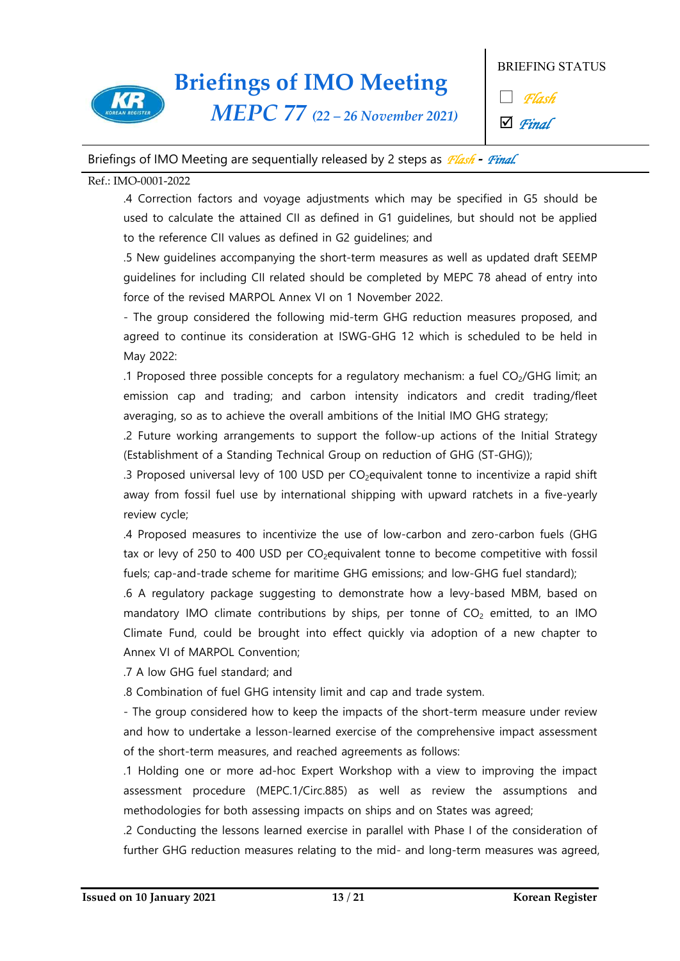

*MEPC 77 (22 – 26 November 2021)*

BRIEFING STATUS

□ *Flash*

þ *Final*

### Briefings of IMO Meeting are sequentially released by 2 steps as *Flash* **-** *Final.*

### Ref.: IMO-0001-2022

.4 Correction factors and voyage adjustments which may be specified in G5 should be used to calculate the attained CII as defined in G1 guidelines, but should not be applied to the reference CII values as defined in G2 guidelines; and

.5 New guidelines accompanying the short-term measures as well as updated draft SEEMP guidelines for including CII related should be completed by MEPC 78 ahead of entry into force of the revised MARPOL Annex VI on 1 November 2022.<br>- The group considered the following mid-term GHG reduction measures proposed, and

agreed to continue its consideration at ISWG-GHG 12 which is scheduled to be held in May 2022:

.1 Proposed three possible concepts for a regulatory mechanism: a fuel  $CO<sub>2</sub>/GHG$  limit; an emission cap and trading; and carbon intensity indicators and credit trading/fleet averaging, so as to achieve the overall ambitions of the Initial IMO GHG strategy;

.2 Future working arrangements to support the follow-up actions of the Initial Strategy (Establishment of a Standing Technical Group on reduction of GHG (ST-GHG));

.3 Proposed universal levy of 100 USD per  $CO<sub>2</sub>$ equivalent tonne to incentivize a rapid shift away from fossil fuel use by international shipping with upward ratchets in a five-yearly review cycle;

.4 Proposed measures to incentivize the use of low-carbon and zero-carbon fuels (GHG tax or levy of 250 to 400 USD per  $CO<sub>2</sub>$ equivalent tonne to become competitive with fossil fuels; cap-and-trade scheme for maritime GHG emissions; and low-GHG fuel standard);

.6 A regulatory package suggesting to demonstrate how a levy-based MBM, based on mandatory IMO climate contributions by ships, per tonne of  $CO<sub>2</sub>$  emitted, to an IMO Climate Fund, could be brought into effect quickly via adoption of a new chapter to Annex VI of MARPOL Convention;

.7 A low GHG fuel standard; and

.8 Combination of fuel GHG intensity limit and cap and trade system. - The group considered how to keep the impacts of the short-term measure under review and how to undertake a lesson-learned exercise of the comprehensive impact assessment of the short-term measures, and reached agreements as follows:

.1 Holding one or more ad-hoc Expert Workshop with a view to improving the impact assessment procedure (MEPC.1/Circ.885) as well as review the assumptions and methodologies for both assessing impacts on ships and on States was agreed;

.2 Conducting the lessons learned exercise in parallel with Phase I of the consideration of further GHG reduction measures relating to the mid- and long-term measures was agreed,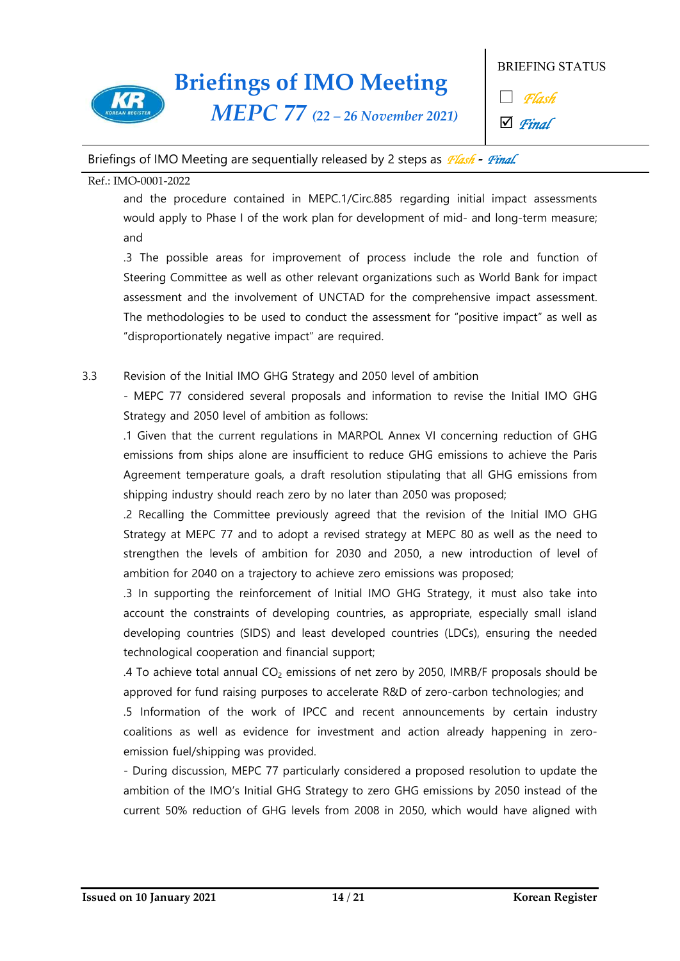

*MEPC 77 (22 – 26 November 2021)*

BRIEFING STATUS

□ *Flash*

þ *Final*

### Briefings of IMO Meeting are sequentially released by 2 steps as *Flash* **-** *Final.*

### Ref.: IMO-0001-2022

and the procedure contained in MEPC.1/Circ.885 regarding initial impact assessments would apply to Phase I of the work plan for development of mid- and long-term measure; and

.3 The possible areas for improvement of process include the role and function of Steering Committee as well as other relevant organizations such as World Bank for impact assessment and the involvement of UNCTAD for the comprehensive impact assessment. The methodologies to be used to conduct the assessment for "positive impact" as well as "disproportionately negative impact" are required.

3.3 Revision of the Initial IMO GHG Strategy and 2050 level of ambition<br>- MEPC 77 considered several proposals and information to revise the Initial IMO GHG Strategy and 2050 level of ambition as follows:

.1 Given that the current regulations in MARPOL Annex VI concerning reduction of GHG emissions from ships alone are insufficient to reduce GHG emissions to achieve the Paris Agreement temperature goals, a draft resolution stipulating that all GHG emissions from shipping industry should reach zero by no later than 2050 was proposed;

.2 Recalling the Committee previously agreed that the revision of the Initial IMO GHG Strategy at MEPC 77 and to adopt a revised strategy at MEPC 80 as well as the need to strengthen the levels of ambition for 2030 and 2050, a new introduction of level of ambition for 2040 on a trajectory to achieve zero emissions was proposed;

.3 In supporting the reinforcement of Initial IMO GHG Strategy, it must also take into account the constraints of developing countries, as appropriate, especially small island developing countries (SIDS) and least developed countries (LDCs), ensuring the needed technological cooperation and financial support;

.4 To achieve total annual  $CO<sub>2</sub>$  emissions of net zero by 2050, IMRB/F proposals should be approved for fund raising purposes to accelerate R&D of zero-carbon technologies; and

.5 Information of the work of IPCC and recent announcements by certain industry coalitions as well as evidence for investment and action already happening in zero emission fuel/shipping was provided.

- During discussion, MEPC 77 particularly considered a proposed resolution to update the ambition of the IMO's Initial GHG Strategy to zero GHG emissions by 2050 instead of the current 50% reduction of GHG levels from 2008 in 2050, which would have aligned with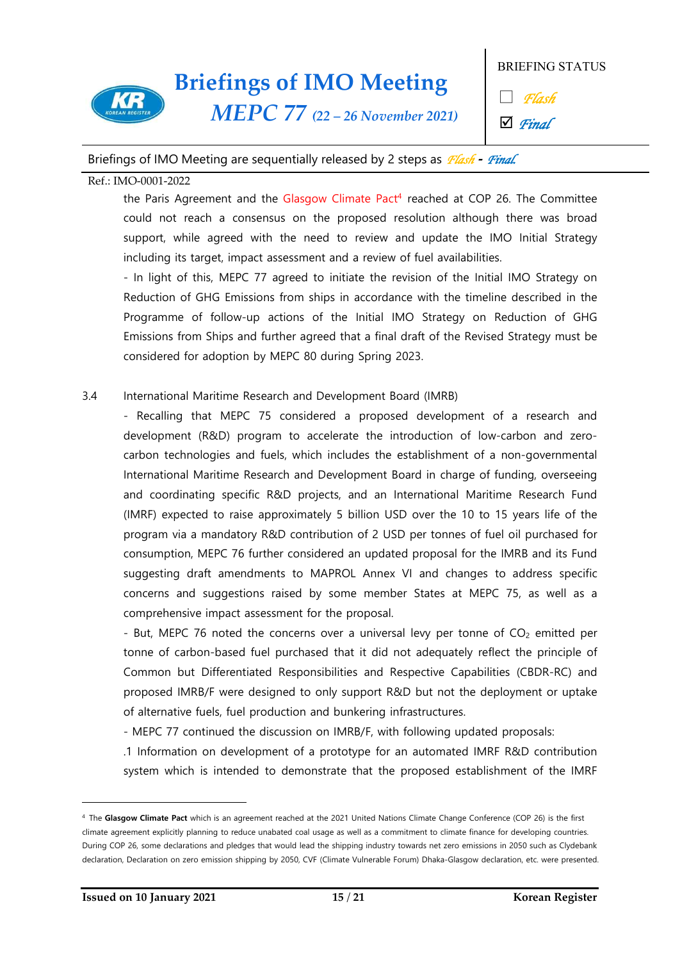

*MEPC 77 (22 – 26 November 2021)*

BRIEFING STATUS

□ *Flash*

þ *Final*

### Briefings of IMO Meeting are sequentially released by 2 steps as *Flash* **-** *Final.*

#### Ref.: IMO-0001-2022

the Paris Agreement and the Glasgow Climate Pact<sup>4</sup> reached at COP 26. The Committee could not reach a consensus on the proposed resolution although there was broad support, while agreed with the need to review and update the IMO Initial Strategy including its target, impact assessment and a review of fuel availabilities.<br>- In light of this, MEPC 77 agreed to initiate the revision of the Initial IMO Strategy on

Reduction of GHG Emissions from ships in accordance with the timeline described in the Programme of follow-up actions of the Initial IMO Strategy on Reduction of GHG Emissions from Ships and further agreed that a final draft of the Revised Strategy must be considered for adoption by MEPC 80 during Spring 2023.

### 3.4 International Maritime Research and Development Board (IMRB)

- Recalling that MEPC 75 considered a proposed development of a research and development (R&D) program to accelerate the introduction of low-carbon and zero carbon technologies and fuels, which includes the establishment of a non-governmental International Maritime Research and Development Board in charge of funding, overseeing and coordinating specific R&D projects, and an International Maritime Research Fund (IMRF) expected to raise approximately 5 billion USD over the 10 to 15 years life of the program via a mandatory R&D contribution of 2 USD per tonnes of fuel oil purchased for consumption, MEPC 76 further considered an updated proposal for the IMRB and its Fund suggesting draft amendments to MAPROL Annex VI and changes to address specific concerns and suggestions raised by some member States at MEPC 75, as well as a comprehensive impact assessment for the proposal.<br>- But, MEPC 76 noted the concerns over a universal levy per tonne of  $CO<sub>2</sub>$  emitted per

tonne of carbon-based fuel purchased that it did not adequately reflect the principle of Common but Differentiated Responsibilities and Respective Capabilities (CBDR-RC) and proposed IMRB/F were designed to only support R&D but not the deployment or uptake of alternative fuels, fuel production and bunkering infrastructures. - MEPC 77 continued the discussion on IMRB/F, with following updated proposals:

.1 Information on development of a prototype for an automated IMRF R&D contribution system which is intended to demonstrate that the proposed establishment of the IMRF

 $\overline{\phantom{a}}$ 

<sup>4</sup> The **Glasgow Climate Pact** which is an agreement reached at the 2021 United Nations Climate Change Conference (COP 26) is the first climate agreement explicitly planning to reduce unabated coal usage as well as a commitment to climate finance for developing countries. During COP 26, some declarations and pledges that would lead the shipping industry towards net zero emissions in 2050 such as Clydebank declaration, Declaration on zero emission shipping by 2050, CVF (Climate Vulnerable Forum) Dhaka-Glasgow declaration, etc. were presented.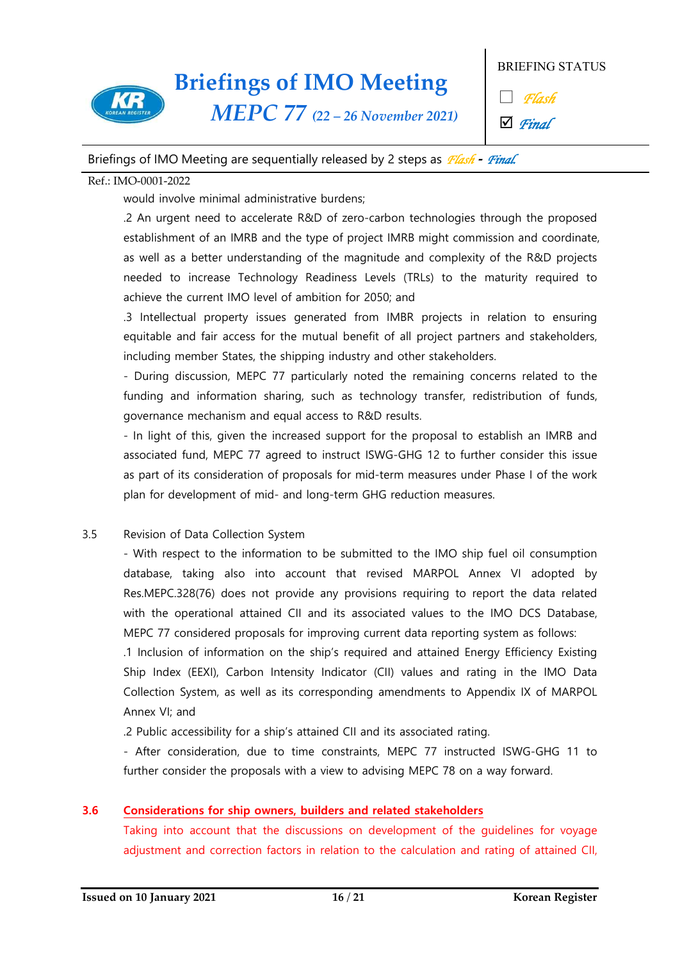

*MEPC 77 (22 – 26 November 2021)*

BRIEFING STATUS

□ *Flash*

þ *Final*

### Briefings of IMO Meeting are sequentially released by 2 steps as *Flash* **-** *Final.*

### Ref.: IMO-0001-2022

would involve minimal administrative burdens;

.2 An urgent need to accelerate R&D of zero-carbon technologies through the proposed establishment of an IMRB and the type of project IMRB might commission and coordinate, as well as a better understanding of the magnitude and complexity of the R&D projects needed to increase Technology Readiness Levels (TRLs) to the maturity required to achieve the current IMO level of ambition for 2050; and

.3 Intellectual property issues generated from IMBR projects in relation to ensuring equitable and fair access for the mutual benefit of all project partners and stakeholders, including member States, the shipping industry and other stakeholders.<br>- During discussion, MEPC 77 particularly noted the remaining concerns related to the

funding and information sharing, such as technology transfer, redistribution of funds,

governance mechanism and equal access to R&D results.<br>- In light of this, given the increased support for the proposal to establish an IMRB and associated fund, MEPC 77 agreed to instruct ISWG-GHG 12 to further consider this issue as part of its consideration of proposals for mid-term measures under Phase I of the work plan for development of mid- and long-term GHG reduction measures.

3.5 Revision of Data Collection System<br>- With respect to the information to be submitted to the IMO ship fuel oil consumption database, taking also into account that revised MARPOL Annex VI adopted by Res.MEPC.328(76) does not provide any provisions requiring to report the data related with the operational attained CII and its associated values to the IMO DCS Database, MEPC 77 considered proposals for improving current data reporting system as follows:

.1 Inclusion of information on the ship's required and attained Energy Efficiency Existing Ship Index (EEXI), Carbon Intensity Indicator (CII) values and rating in the IMO Data Collection System, as well as its corresponding amendments to Appendix IX of MARPOL Annex VI; and

.2 Public accessibility for a ship's attained CII and its associated rating. - After consideration, due to time constraints, MEPC 77 instructed ISWG-GHG 11 to further consider the proposals with a view to advising MEPC 78 on a way forward.

### **3.6 Considerations for ship owners, builders and related stakeholders**

Taking into account that the discussions on development of the guidelines for voyage adjustment and correction factors in relation to the calculation and rating of attained CII,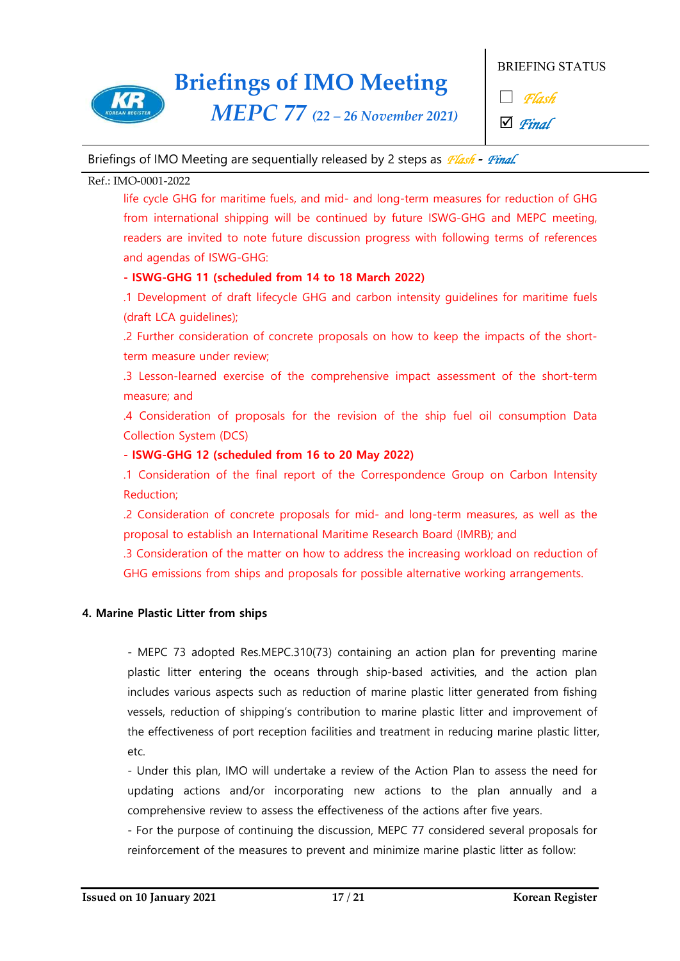

*MEPC 77 (22 – 26 November 2021)*

BRIEFING STATUS

□ *Flash*

þ *Final*

### Briefings of IMO Meeting are sequentially released by 2 steps as *Flash* **-** *Final.*

### Ref.: IMO-0001-2022

life cycle GHG for maritime fuels, and mid- and long-term measures for reduction of GHG from international shipping will be continued by future ISWG-GHG and MEPC meeting, readers are invited to note future discussion progress with following terms of references and agendas of ISWG-GHG:

### **- ISWG-GHG 11 (scheduled from 14 to 18 March 2022)**

.1 Development of draft lifecycle GHG and carbon intensity guidelines for maritime fuels (draft LCA guidelines);

.2 Further consideration of concrete proposals on how to keep the impacts of the shortterm measure under review;

.3 Lesson-learned exercise of the comprehensive impact assessment of the short-term measure; and

.4 Consideration of proposals for the revision of the ship fuel oil consumption Data Collection System (DCS)

### **- ISWG-GHG 12 (scheduled from 16 to 20 May 2022)**

.1 Consideration of the final report of the Correspondence Group on Carbon Intensity Reduction;

.2 Consideration of concrete proposals for mid- and long-term measures, as well as the proposal to establish an International Maritime Research Board (IMRB); and

.3 Consideration of the matter on how to address the increasing workload on reduction of GHG emissions from ships and proposals for possible alternative working arrangements.

### **4. Marine Plastic Litter from ships**

- MEPC 73 adopted Res.MEPC.310(73) containing an action plan for preventing marine plastic litter entering the oceans through ship-based activities, and the action plan includes various aspects such as reduction of marine plastic litter generated from fishing vessels, reduction of shipping's contribution to marine plastic litter and improvement of the effectiveness of port reception facilities and treatment in reducing marine plastic litter, etc.<br>- Under this plan, IMO will undertake a review of the Action Plan to assess the need for

updating actions and/or incorporating new actions to the plan annually and a

comprehensive review to assess the effectiveness of the actions after five years. - For the purpose of continuing the discussion, MEPC 77 considered several proposals for reinforcement of the measures to prevent and minimize marine plastic litter as follow: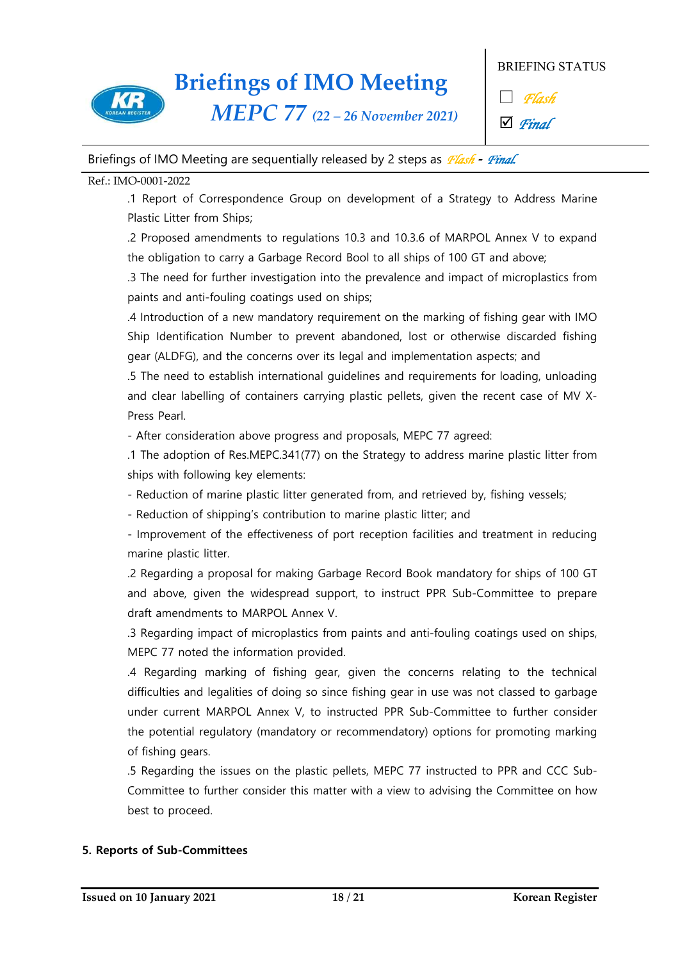

*MEPC 77 (22 – 26 November 2021)*

BRIEFING STATUS

□ *Flash*

þ *Final*

### Briefings of IMO Meeting are sequentially released by 2 steps as *Flash* **-** *Final.*

### Ref.: IMO-0001-2022

.1 Report of Correspondence Group on development of a Strategy to Address Marine Plastic Litter from Ships;

.2 Proposed amendments to regulations 10.3 and 10.3.6 of MARPOL Annex V to expand the obligation to carry a Garbage Record Bool to all ships of 100 GT and above;

.3 The need for further investigation into the prevalence and impact of microplastics from paints and anti-fouling coatings used on ships;

.4 Introduction of a new mandatory requirement on the marking of fishing gear with IMO Ship Identification Number to prevent abandoned, lost or otherwise discarded fishing gear (ALDFG), and the concerns over its legal and implementation aspects; and

.5 The need to establish international guidelines and requirements for loading, unloading and clear labelling of containers carrying plastic pellets, given the recent case of MV X-

Press Pearl.<br>- After consideration above progress and proposals, MEPC 77 agreed:

.1 The adoption of Res.MEPC.341(77) on the Strategy to address marine plastic litter from ships with following key elements:

- Reduction of marine plastic litter generated from, and retrieved by, fishing vessels;

- Reduction of shipping's contribution to marine plastic litter; and<br>- Improvement of the effectiveness of port reception facilities and treatment in reducing marine plastic litter.

.2 Regarding a proposal for making Garbage Record Book mandatory for ships of 100 GT and above, given the widespread support, to instruct PPR Sub-Committee to prepare draft amendments to MARPOL Annex V.

.3 Regarding impact of microplastics from paints and anti-fouling coatings used on ships, MEPC 77 noted the information provided.

.4 Regarding marking of fishing gear, given the concerns relating to the technical difficulties and legalities of doing so since fishing gear in use was not classed to garbage under current MARPOL Annex V, to instructed PPR Sub-Committee to further consider the potential regulatory (mandatory or recommendatory) options for promoting marking of fishing gears.

.5 Regarding the issues on the plastic pellets, MEPC 77 instructed to PPR and CCC Sub- Committee to further consider this matter with a view to advising the Committee on how best to proceed.

### **5. Reports of Sub-Committees**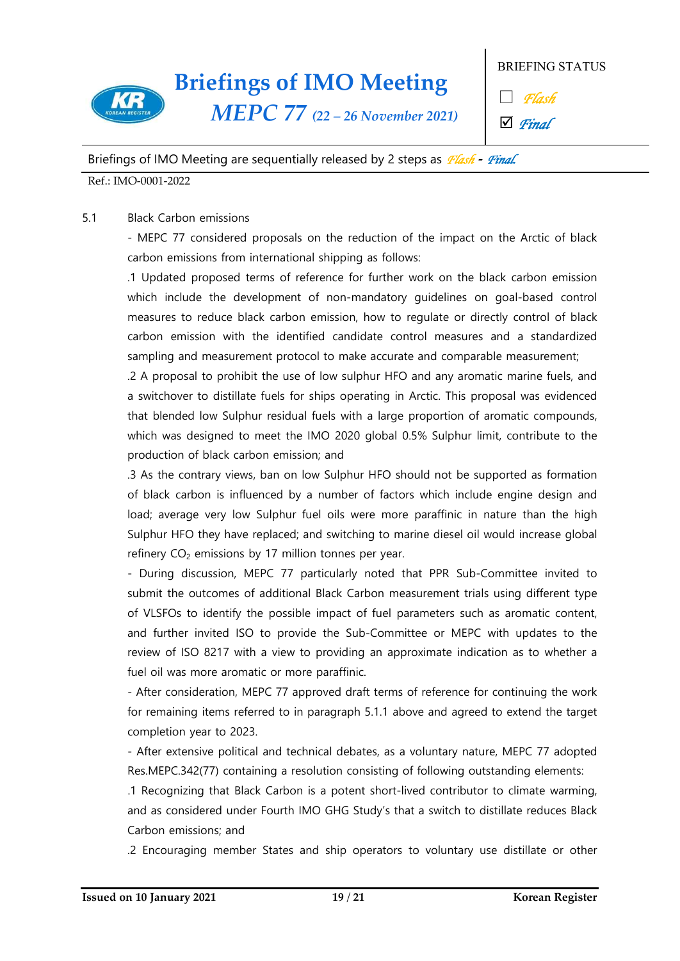

BRIEFING STATUS

□ *Flash*

þ *Final*

### Briefings of IMO Meeting are sequentially released by 2 steps as *Flash* **-** *Final.*

Ref.: IMO-0001-2022

### 5.1 Black Carbon emissions

- MEPC 77 considered proposals on the reduction of the impact on the Arctic of black carbon emissions from international shipping as follows:

.1 Updated proposed terms of reference for further work on the black carbon emission which include the development of non-mandatory guidelines on goal-based control measures to reduce black carbon emission, how to regulate or directly control of black carbon emission with the identified candidate control measures and a standardized sampling and measurement protocol to make accurate and comparable measurement;

.2 A proposal to prohibit the use of low sulphur HFO and any aromatic marine fuels, and a switchover to distillate fuels for ships operating in Arctic. This proposal was evidenced that blended low Sulphur residual fuels with a large proportion of aromatic compounds, which was designed to meet the IMO 2020 global 0.5% Sulphur limit, contribute to the production of black carbon emission; and

.3 As the contrary views, ban on low Sulphur HFO should not be supported as formation of black carbon is influenced by a number of factors which include engine design and load; average very low Sulphur fuel oils were more paraffinic in nature than the high Sulphur HFO they have replaced; and switching to marine diesel oil would increase global refinery CO<sub>2</sub> emissions by 17 million tonnes per year.<br>- During discussion, MEPC 77 particularly noted that PPR Sub-Committee invited to

submit the outcomes of additional Black Carbon measurement trials using different type of VLSFOs to identify the possible impact of fuel parameters such as aromatic content, and further invited ISO to provide the Sub-Committee or MEPC with updates to the review of ISO 8217 with a view to providing an approximate indication as to whether a fuel oil was more aromatic or more paraffinic.<br>- After consideration, MEPC 77 approved draft terms of reference for continuing the work

for remaining items referred to in paragraph 5.1.1 above and agreed to extend the target completion year to 2023.<br>- After extensive political and technical debates, as a voluntary nature, MEPC 77 adopted

Res.MEPC.342(77) containing a resolution consisting of following outstanding elements:

.1 Recognizing that Black Carbon is a potent short-lived contributor to climate warming, and as considered under Fourth IMO GHG Study's that a switch to distillate reduces Black Carbon emissions; and

.2 Encouraging member States and ship operators to voluntary use distillate or other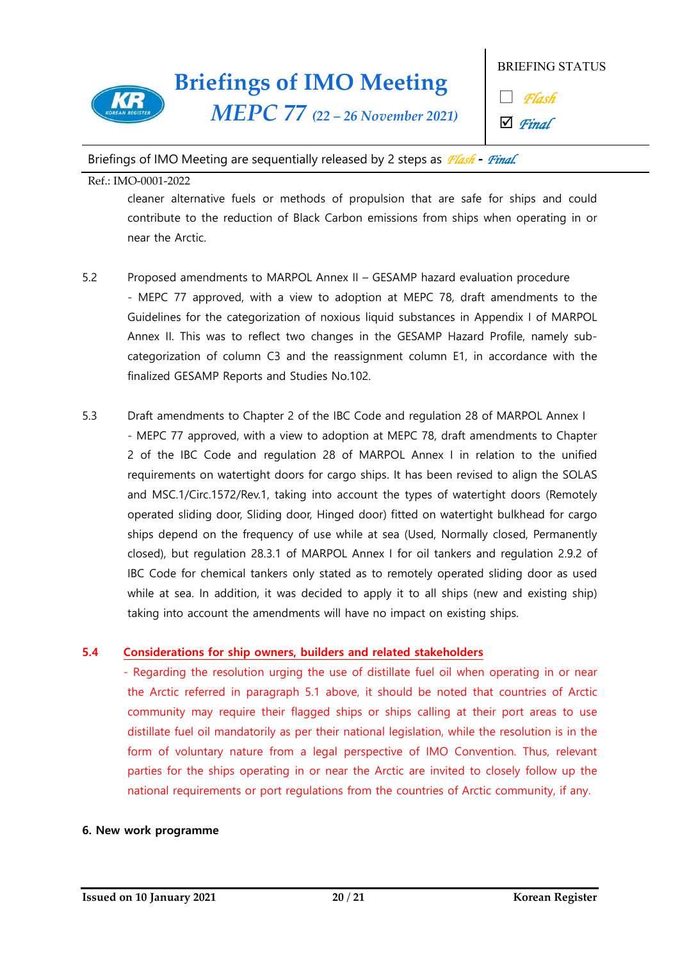

*MEPC 77 (22 – 26 November 2021)*

BRIEFING STATUS

□ *Flash*

þ *Final*

### Briefings of IMO Meeting are sequentially released by 2 steps as *Flash* **-** *Final.*

Ref.: IMO-0001-2022

cleaner alternative fuels or methods of propulsion that are safe for ships and could contribute to the reduction of Black Carbon emissions from ships when operating in or near the Arctic.

- 5.2 Proposed amendments to MARPOL Annex II GESAMP hazard evaluation procedure - MEPC 77 approved, with a view to adoption at MEPC 78, draft amendments to the Guidelines for the categorization of noxious liquid substances in Appendix I of MARPOL Annex II. This was to reflect two changes in the GESAMP Hazard Profile, namely sub categorization of column C3 and the reassignment column E1, in accordance with the finalized GESAMP Reports and Studies No.102.
- 5.3 Draft amendments to Chapter 2 of the IBC Code and regulation 28 of MARPOL Annex I - MEPC 77 approved, with a view to adoption at MEPC 78, draft amendments to Chapter 2 of the IBC Code and regulation 28 of MARPOL Annex I in relation to the unified requirements on watertight doors for cargo ships. It has been revised to align the SOLAS and MSC.1/Circ.1572/Rev.1, taking into account the types of watertight doors (Remotely operated sliding door, Sliding door, Hinged door) fitted on watertight bulkhead for cargo ships depend on the frequency of use while at sea (Used, Normally closed, Permanently closed), but regulation 28.3.1 of MARPOL Annex I for oil tankers and regulation 2.9.2 of IBC Code for chemical tankers only stated as to remotely operated sliding door as used while at sea. In addition, it was decided to apply it to all ships (new and existing ship) taking into account the amendments will have no impact on existing ships.

### **5.4 Considerations for ship owners, builders and related stakeholders**

- Regarding the resolution urging the use of distillate fuel oil when operating in or near the Arctic referred in paragraph 5.1 above, it should be noted that countries of Arctic community may require their flagged ships or ships calling at their port areas to use distillate fuel oil mandatorily as per their national legislation, while the resolution is in the form of voluntary nature from a legal perspective of IMO Convention. Thus, relevant parties for the ships operating in or near the Arctic are invited to closely follow up the national requirements or port regulations from the countries of Arctic community, if any.

### **6. New work programme**